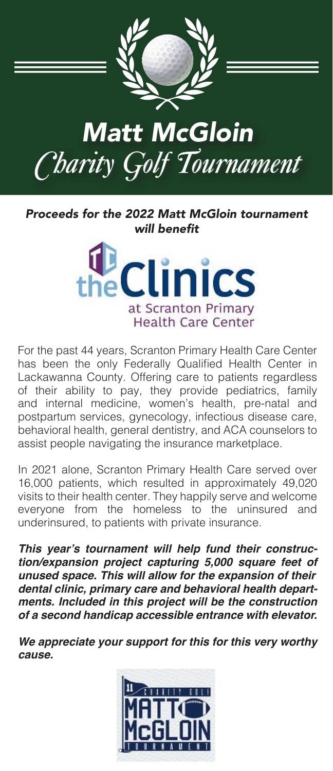

Proceeds for the 2022 Matt McGloin tournament will benefit



For the past 44 years, Scranton Primary Health Care Center has been the only Federally Qualified Health Center in Lackawanna County. Offering care to patients regardless of their ability to pay, they provide pediatrics, family and internal medicine, women's health, pre-natal and postpartum services, gynecology, infectious disease care, behavioral health, general dentistry, and ACA counselors to assist people navigating the insurance marketplace.

In 2021 alone, Scranton Primary Health Care served over 16,000 patients, which resulted in approximately 49,020 visits to their health center. They happily serve and welcome everyone from the homeless to the uninsured and underinsured, to patients with private insurance.

**This year's tournament will help fund their construc****tion/expansion project capturing 5,000 square feet of unused space. This will allow for the expansion of their dental clinic, primary care and behavioral health depart****ments. Included in this project will be the construction of a second handicap accessible entrance with elevator.** 

**We appreciate your support for this for this very worthy cause.** 

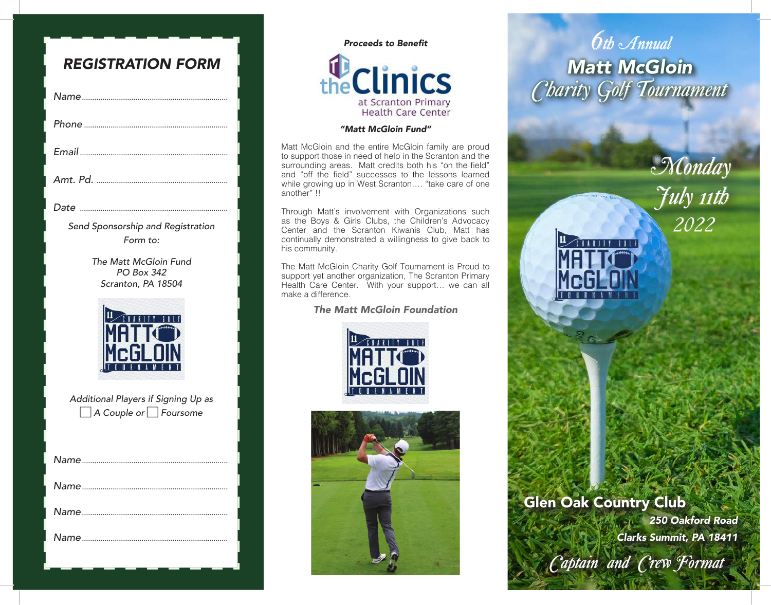| <b>REGISTRATION FORM</b>                                                  |
|---------------------------------------------------------------------------|
|                                                                           |
|                                                                           |
|                                                                           |
|                                                                           |
|                                                                           |
| Send Sponsorship and Registration<br>Form to:                             |
| The Matt McGloin Fund<br><b>PO Box 342</b><br>Scranton, PA 18504          |
| Additional Players if Signing Up as<br>$\Box$ A Couple or $\Box$ Foursome |
|                                                                           |
|                                                                           |
|                                                                           |
|                                                                           |

## **Proceeds to Benefit** the Clinics at Scranton Primary **Health Care Center**

#### "Matt McGloin Fund"

Matt McGloin and the entire McGloin family are proud to support those in need of help in the Scranton and the surrounding areas. Matt credits both his "on the field" and "off the field" successes to the lessons learned while growing up in West Scranton…. "take care of one another" !!

Through Matt's involvement with Organizations such as the Boys & Girls Clubs, the Children's Advocacy Center and the Scranton Kiwanis Club, Matt has continually demonstrated a willingness to give back to his community.

The Matt McGloin Charity Golf Tournament is Proud to support yet another organization, The Scranton Primary Health Care Center. With your support… we can all make a difference.

The Matt McGloin Foundation





# *6th Annual* **Matt McGloin** *Charity Golf Tournament*

*2022 Monday July 11th*

### Glen Oak Country Club

250 Oakford Road Clarks Summit, PA 18411

*Captain and Crew Format*